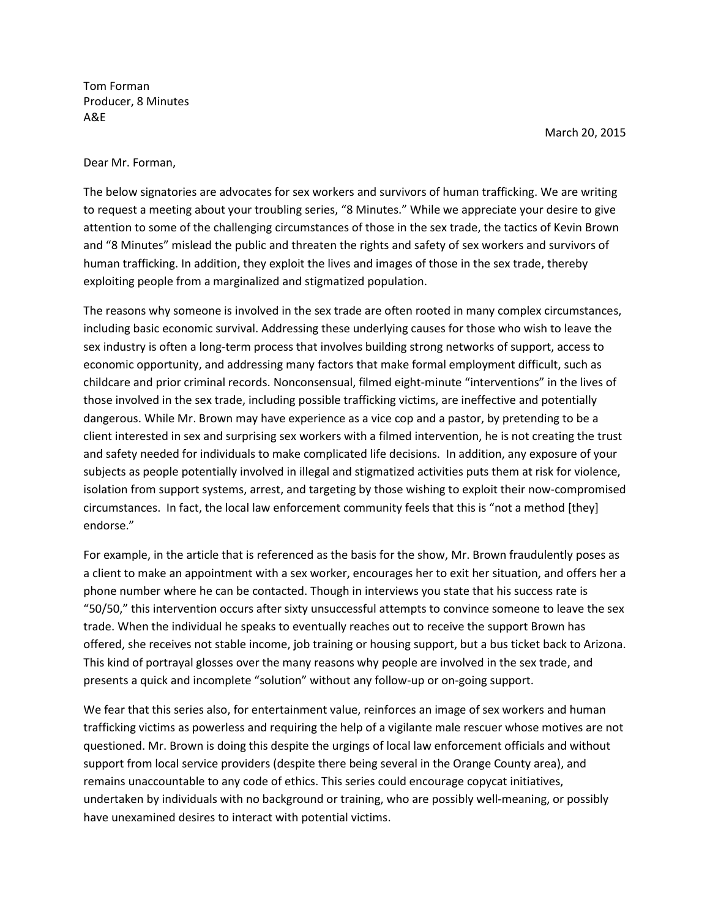Tom Forman Producer, 8 Minutes A&E

March 20, 2015

Dear Mr. Forman,

The below signatories are advocates for sex workers and survivors of human trafficking. We are writing to request a meeting about your troubling series, "8 Minutes." While we appreciate your desire to give attention to some of the challenging circumstances of those in the sex trade, the tactics of Kevin Brown and "8 Minutes" mislead the public and threaten the rights and safety of sex workers and survivors of human trafficking. In addition, they exploit the lives and images of those in the sex trade, thereby exploiting people from a marginalized and stigmatized population.

The reasons why someone is involved in the sex trade are often rooted in many complex circumstances, including basic economic survival. Addressing these underlying causes for those who wish to leave the sex industry is often a long-term process that involves building strong networks of support, access to economic opportunity, and addressing many factors that make formal employment difficult, such as childcare and prior criminal records. Nonconsensual, filmed eight-minute "interventions" in the lives of those involved in the sex trade, including possible trafficking victims, are ineffective and potentially dangerous. While Mr. Brown may have experience as a vice cop and a pastor, by pretending to be a client interested in sex and surprising sex workers with a filmed intervention, he is not creating the trust and safety needed for individuals to make complicated life decisions. In addition, any exposure of your subjects as people potentially involved in illegal and stigmatized activities puts them at risk for violence, isolation from support systems, arrest, and targeting by those wishing to exploit their now-compromised circumstances. In fact, the local law enforcement community feels that this is "not a method [they] endorse."

For example, in the article that is referenced as the basis for the show, Mr. Brown fraudulently poses as a client to make an appointment with a sex worker, encourages her to exit her situation, and offers her a phone number where he can be contacted. Though in interviews you state that his success rate is "50/50," this intervention occurs after sixty unsuccessful attempts to convince someone to leave the sex trade. When the individual he speaks to eventually reaches out to receive the support Brown has offered, she receives not stable income, job training or housing support, but a bus ticket back to Arizona. This kind of portrayal glosses over the many reasons why people are involved in the sex trade, and presents a quick and incomplete "solution" without any follow-up or on-going support.

We fear that this series also, for entertainment value, reinforces an image of sex workers and human trafficking victims as powerless and requiring the help of a vigilante male rescuer whose motives are not questioned. Mr. Brown is doing this despite the urgings of local law enforcement officials and without support from local service providers (despite there being several in the Orange County area), and remains unaccountable to any code of ethics. This series could encourage copycat initiatives, undertaken by individuals with no background or training, who are possibly well-meaning, or possibly have unexamined desires to interact with potential victims.